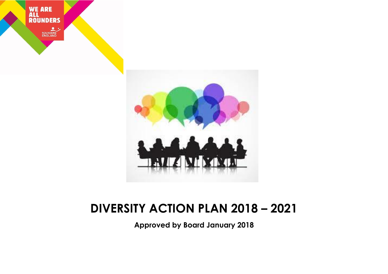



## **DIVERSITY ACTION PLAN 2018 – 2021**

**Approved by Board January 2018**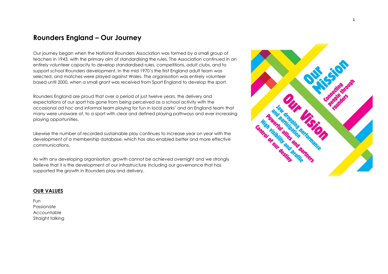### **Rounders England – Our Journey**

Our journey began when the National Rounders Association was formed by a small group of teachers in 1943, with the primary aim of standardising the rules. The Association continued in an entirely volunteer capacity to develop standardised rules, competitions, adult clubs, and to support school Rounders development. In the mid 1970's the first England adult team was selected, and matches were played against Wales. The organisation was entirely volunteer based until 2000, when a small grant was received from Sport England to develop the sport.

Rounders England are proud that over a period of just twelve years, the delivery and expectations of our sport has gone from being perceived as a school activity with the occasional ad hoc and informal team playing for fun in local parks' and an England team that many were unaware of, to a sport with clear and defined playing pathways and ever increasing playing opportunities.

Likewise the number of recorded sustainable play continues to increase year on year with the development of a membership database, which has also enabled better and more effective communications.

As with any developing organisation, growth cannot be achieved overnight and we strongly believe that it is the development of our infrastructure including our governance that has supported the growth in Rounders play and delivery.

#### **OUR VALUES**

Fun Passionate Accountable Straight talking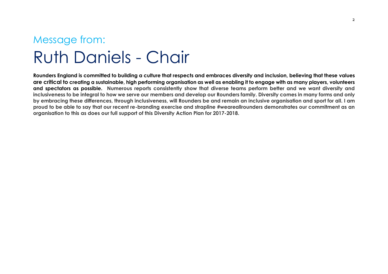## Message from: Ruth Daniels - Chair

**Rounders England is committed to building a culture that respects and embraces diversity and inclusion, believing that these values are critical to creating a sustainable, high performing organisation as well as enabling it to engage with as many players, volunteers and spectators as possible. Numerous reports consistently show that diverse teams perform better and we want diversity and inclusiveness to be integral to how we serve our members and develop our Rounders family. Diversity comes in many forms and only by embracing these differences, through inclusiveness, will Rounders be and remain an inclusive organisation and sport for all. I am proud to be able to say that our recent re-branding exercise and strapline #weareallrounders demonstrates our commitment as an organisation to this as does our full support of this Diversity Action Plan for 2017-2018.**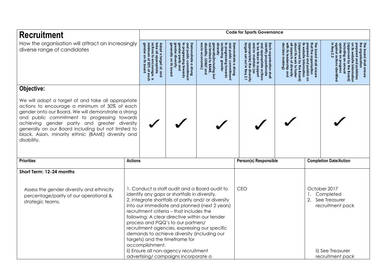| How the organisation will attract an increasingly<br>actions to encourage, a<br>minimum of 30% of eacl<br>greater diversity<br>Demonstrate a strong<br>and public commitment<br>and appropriate actions<br>to be taken to support<br>Each organisation shall<br>identify proportionate<br>decision<br>generally<br>appropriate)<br>and/or maintain<br>The board shall ensure<br>dke all appropriate<br>to progressing towards<br>gender parity and<br>å<br>hat the organisation<br>Adopt a target of, and<br>orepared and publishes<br>approved by<br>update<br>against<br>dbbroved by<br>Il aspects<br>repared<br>Iversity<br>website information<br>progressing towards<br>out its<br>hieving<br>₩,<br>diverse range of candidates<br>un ding an<br>io-e<br>nonstrate a strong<br>public commitment<br>nerally(including but<br>I limited to BAME,<br>ability, LGB&T and<br>website<br>22<br>conomic)<br>$\frac{9}{2}$<br>making]<br>work to<br>gnd<br><b>greater</b><br>progres<br>ot diversity<br>its board<br>pnuup<br>e information<br>y the Board)<br>the Board)<br>publish o<br>Ξ.<br>(as<br>foster<br>diversity<br>entified<br>Objective:<br>We will adopt a target of and take all appropriate<br>actions to encourage a minimum of 30% of each<br>gender onto our Board. We will demonstrate a strong<br>and public commitment to progressing towards<br>achieving gender parity and greater diversity<br>generally on our Board including but not limited to<br>black, Asian, minority ethnic (BAME) diversity and<br>disability.<br><b>Priorities</b><br>Person(s) Responsible<br><b>Completion Date/Action</b><br><b>Actions</b><br>Short Term: 12-24 months<br>1. Conduct a staff audit and a Board audit to<br><b>CEO</b><br>October 2017<br>Assess the gender diversity and ethnicity<br>Completed<br>identify any gaps or shortfalls in diversity.<br>percentage/parity of our operational &<br>2. See Treasurer<br>2. Integrate shortfalls of parity and/ or diversity<br>strategic teams.<br>into our immediate and planned (next 2 years)<br>recruitment pack<br>recruitment criteria - that includes the<br>following: A clear directive within our tender<br>process and PQQ's to our partners/<br>recruitment agencies, expressing our specific<br>demands to achieve diversity (including our | <b>Recruitment</b> |                                                                       |  |  | <b>Code for Sports Governance</b> |  |                                       |
|------------------------------------------------------------------------------------------------------------------------------------------------------------------------------------------------------------------------------------------------------------------------------------------------------------------------------------------------------------------------------------------------------------------------------------------------------------------------------------------------------------------------------------------------------------------------------------------------------------------------------------------------------------------------------------------------------------------------------------------------------------------------------------------------------------------------------------------------------------------------------------------------------------------------------------------------------------------------------------------------------------------------------------------------------------------------------------------------------------------------------------------------------------------------------------------------------------------------------------------------------------------------------------------------------------------------------------------------------------------------------------------------------------------------------------------------------------------------------------------------------------------------------------------------------------------------------------------------------------------------------------------------------------------------------------------------------------------------------------------------------------------------------------------------------------------------------------------------------------------------------------------------------------------------------------------------------------------------------------------------------------------------------------------------------------------------------------------------------------------------------------------------------------------------------------------------------------------------------------------------------------------------------------------------------------------------|--------------------|-----------------------------------------------------------------------|--|--|-----------------------------------|--|---------------------------------------|
|                                                                                                                                                                                                                                                                                                                                                                                                                                                                                                                                                                                                                                                                                                                                                                                                                                                                                                                                                                                                                                                                                                                                                                                                                                                                                                                                                                                                                                                                                                                                                                                                                                                                                                                                                                                                                                                                                                                                                                                                                                                                                                                                                                                                                                                                                                                        |                    |                                                                       |  |  |                                   |  | he organisation<br>board shall ensure |
|                                                                                                                                                                                                                                                                                                                                                                                                                                                                                                                                                                                                                                                                                                                                                                                                                                                                                                                                                                                                                                                                                                                                                                                                                                                                                                                                                                                                                                                                                                                                                                                                                                                                                                                                                                                                                                                                                                                                                                                                                                                                                                                                                                                                                                                                                                                        |                    |                                                                       |  |  |                                   |  |                                       |
|                                                                                                                                                                                                                                                                                                                                                                                                                                                                                                                                                                                                                                                                                                                                                                                                                                                                                                                                                                                                                                                                                                                                                                                                                                                                                                                                                                                                                                                                                                                                                                                                                                                                                                                                                                                                                                                                                                                                                                                                                                                                                                                                                                                                                                                                                                                        |                    |                                                                       |  |  |                                   |  |                                       |
|                                                                                                                                                                                                                                                                                                                                                                                                                                                                                                                                                                                                                                                                                                                                                                                                                                                                                                                                                                                                                                                                                                                                                                                                                                                                                                                                                                                                                                                                                                                                                                                                                                                                                                                                                                                                                                                                                                                                                                                                                                                                                                                                                                                                                                                                                                                        |                    |                                                                       |  |  |                                   |  |                                       |
|                                                                                                                                                                                                                                                                                                                                                                                                                                                                                                                                                                                                                                                                                                                                                                                                                                                                                                                                                                                                                                                                                                                                                                                                                                                                                                                                                                                                                                                                                                                                                                                                                                                                                                                                                                                                                                                                                                                                                                                                                                                                                                                                                                                                                                                                                                                        |                    |                                                                       |  |  |                                   |  |                                       |
| accomplishment.<br>ii) Ensure all non-agency recruitment<br>ii) See Treasurer<br>recruitment pack                                                                                                                                                                                                                                                                                                                                                                                                                                                                                                                                                                                                                                                                                                                                                                                                                                                                                                                                                                                                                                                                                                                                                                                                                                                                                                                                                                                                                                                                                                                                                                                                                                                                                                                                                                                                                                                                                                                                                                                                                                                                                                                                                                                                                      |                    | targets) and the timeframe for<br>advertising/campaigns incorporate a |  |  |                                   |  |                                       |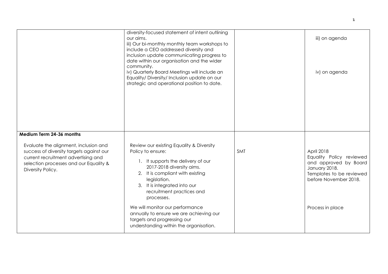|                                                                                                                                                                                         | diversity-focused statement of intent outlining<br>our aims.<br>iii) Our bi-monthly monthly team workshops to<br>include a CEO addressed diversity and<br>inclusion update communicating progress to<br>date within our organisation and the wider<br>community.<br>iv) Quarterly Board Meetings will include an<br>Equality/Diversity/Inclusion update on our<br>strategic and operational position to date. |            | iii) on agenda<br>iv) on agenda                                                                                                       |
|-----------------------------------------------------------------------------------------------------------------------------------------------------------------------------------------|---------------------------------------------------------------------------------------------------------------------------------------------------------------------------------------------------------------------------------------------------------------------------------------------------------------------------------------------------------------------------------------------------------------|------------|---------------------------------------------------------------------------------------------------------------------------------------|
| Medium Term 24-36 months                                                                                                                                                                |                                                                                                                                                                                                                                                                                                                                                                                                               |            |                                                                                                                                       |
| Evaluate the alignment, inclusion and<br>success of diversity targets against our<br>current recruitment advertising and<br>selection processes and our Equality &<br>Diversity Policy. | Review our existing Equality & Diversity<br>Policy to ensure:<br>1. It supports the delivery of our<br>2017-2018 diversity aims.<br>2. It is compliant with existing<br>legislation.<br>3. It is integrated into our<br>recruitment practices and<br>processes.                                                                                                                                               | <b>SMT</b> | April 2018<br>Equality Policy reviewed<br>and approved by Board<br>January 2018.<br>Templates to be reviewed<br>before November 2018. |
|                                                                                                                                                                                         | We will monitor our performance<br>annually to ensure we are achieving our<br>targets and progressing our<br>understanding within the organisation.                                                                                                                                                                                                                                                           |            | Process in place                                                                                                                      |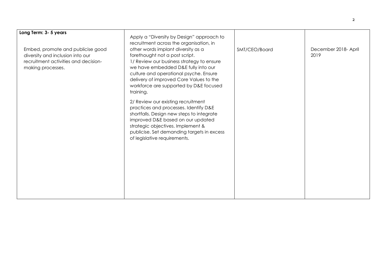| Long Term: 3-5 years                                                                                                               | Apply a "Diversity by Design" approach to<br>recruitment across the organisation, in                                                                                                                                                                                                                 |               |                              |
|------------------------------------------------------------------------------------------------------------------------------------|------------------------------------------------------------------------------------------------------------------------------------------------------------------------------------------------------------------------------------------------------------------------------------------------------|---------------|------------------------------|
| Embed, promote and publicise good<br>diversity and inclusion into our<br>recruitment activities and decision-<br>making processes. | other words implant diversity as a<br>forethought not a post script.<br>1/ Review our business strategy to ensure<br>we have embedded D&E fully into our<br>culture and operational psyche. Ensure<br>delivery of improved Core Values to the<br>workforce are supported by D&E focused<br>training. | SMT/CEO/Board | December 2018- April<br>2019 |
|                                                                                                                                    | 2/ Review our existing recruitment<br>practices and processes. Identify D&E<br>shortfalls. Design new steps to integrate<br>improved D&E based on our updated<br>strategic objectives. Implement &<br>publicise. Set demanding targets in excess<br>of legislative requirements.                     |               |                              |
|                                                                                                                                    |                                                                                                                                                                                                                                                                                                      |               |                              |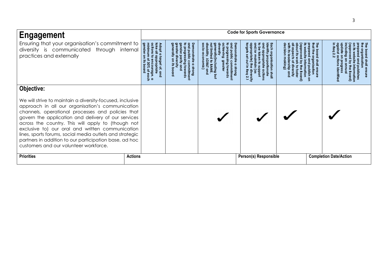| <b>Engagement</b>                                                                                                                                                                                                                                                                                                                                                                                                                                                                                                 |                                                                |                                     |                         | <b>Code for Sports Governance</b> |                               |
|-------------------------------------------------------------------------------------------------------------------------------------------------------------------------------------------------------------------------------------------------------------------------------------------------------------------------------------------------------------------------------------------------------------------------------------------------------------------------------------------------------------------|----------------------------------------------------------------|-------------------------------------|-------------------------|-----------------------------------|-------------------------------|
| Ensuring that your organisation's commitment to<br>diversity is communicated through internal<br>practices and externally                                                                                                                                                                                                                                                                                                                                                                                         | actions<br>Inimu<br>ender<br>priate<br>ourage<br>$\frac{8}{2}$ | mmitment<br>towards<br><b>Buous</b> | <b>Buous</b><br>nmitmen | sation sha                        | <b>ihall</b><br>ensure        |
| Objective:<br>We will strive to maintain a diversity-focused, inclusive<br>approach in all our organisation's communication<br>channels, operational processes and policies that<br>govern the application and delivery of our services<br>across the country. This will apply to (though not<br>exclusive to) our oral and written communication<br>lines, sports forums, social media outlets and strategic<br>partners in addition to our participation base, ad hoc<br>customers and our volunteer workforce. |                                                                |                                     |                         |                                   |                               |
| <b>Priorities</b>                                                                                                                                                                                                                                                                                                                                                                                                                                                                                                 | <b>Actions</b>                                                 |                                     |                         | Person(s) Responsible             | <b>Completion Date/Action</b> |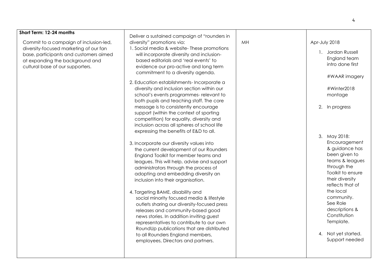| Short Term: 12-24 months               |                                              |    |                     |
|----------------------------------------|----------------------------------------------|----|---------------------|
|                                        | Deliver a sustained campaign of "rounders in |    |                     |
| Commit to a campaign of inclusion-led, | diversity" promotions via:                   | MH | Apr-July 2018       |
| diversity-focused marketing of our fan | 1. Social media & website- These promotions  |    |                     |
| base, participants and customers aimed | will incorporate diversity and inclusion-    |    | 1. Jordan Russell   |
| at expanding the background and        | based editorials and 'real events' to        |    | England team        |
| cultural base of our supporters.       | evidence our pro-active and long term        |    | intro done first    |
|                                        | commitment to a diversity agenda.            |    |                     |
|                                        |                                              |    | #WAAR imagery       |
|                                        | 2. Education establishments- Incorporate a   |    |                     |
|                                        | diversity and inclusion section within our   |    | #Winter2018         |
|                                        | school's events programmes- relevant to      |    | montage             |
|                                        | both pupils and teaching staff. The core     |    |                     |
|                                        | message is to consistently encourage         |    | 2. In progress      |
|                                        | support (within the context of sporting      |    |                     |
|                                        | competition) for equality, diversity and     |    |                     |
|                                        | inclusion across all spheres of school life  |    |                     |
|                                        | expressing the benefits of E&D to all.       |    |                     |
|                                        |                                              |    | 3. May 2018:        |
|                                        | 3. Incorporate our diversity values into     |    | Encouragement       |
|                                        | the current development of our Rounders      |    | & guidance has      |
|                                        | England Toolkit for member teams and         |    | been given to       |
|                                        | leagues. This will help, advise and support  |    | teams & leagues     |
|                                        | administrators through the process of        |    | through the         |
|                                        | adopting and embedding diversity an          |    | Toolkit to ensure   |
|                                        | inclusion into their organisation.           |    | their diversity     |
|                                        |                                              |    | reflects that of    |
|                                        | 4. Targeting BAME, disability and            |    | the local           |
|                                        | social minority focused media & lifestyle    |    | community.          |
|                                        | outlets sharing our diversity-focused press  |    | See Role            |
|                                        | releases and community-based good            |    | descriptions &      |
|                                        | news stories. In addition inviting guest     |    | Constitution        |
|                                        | representatives to contribute to our own     |    | Template.           |
|                                        | RoundUp publications that are distributed    |    |                     |
|                                        | to all Rounders England members,             |    | 4. Not yet started. |
|                                        | employees, Directors and partners.           |    | Support needed      |
|                                        |                                              |    |                     |
|                                        |                                              |    |                     |
|                                        |                                              |    |                     |

4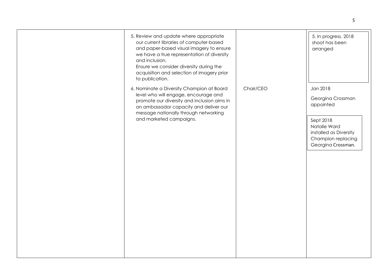| 5. Review and update where appropriate<br>our current libraries of computer-based<br>and paper-based visual imagery to ensure<br>we have a true representation of diversity<br>and inclusion.<br>Ensure we consider diversity during the<br>acquisition and selection of imagery prior<br>to publication. |           | 5. In progress. 2018<br>shoot has been<br>arranged                                                                                            |
|-----------------------------------------------------------------------------------------------------------------------------------------------------------------------------------------------------------------------------------------------------------------------------------------------------------|-----------|-----------------------------------------------------------------------------------------------------------------------------------------------|
| 6. Nominate a Diversity Champion at Board<br>level who will engage, encourage and<br>promote our diversity and inclusion aims in<br>an ambassador capacity and deliver our<br>message nationally through networking<br>and marketed campaigns.                                                            | Chair/CEO | Jan 2018<br>Georgina Crossman<br>appointed<br>Sept 2018<br>Natalie Ward<br>installed as Diversity<br>Champion replacing<br>Georgina Crossman. |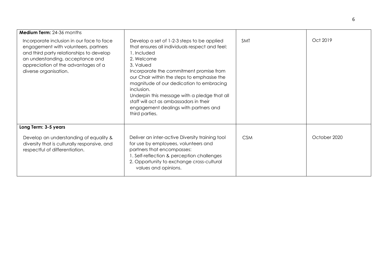| <b>Medium Term: 24-36 months</b>                                                                                                                                                                                                  |                                                                                                                                                                                                                                                                                                                                                                                                                                                 |            |              |
|-----------------------------------------------------------------------------------------------------------------------------------------------------------------------------------------------------------------------------------|-------------------------------------------------------------------------------------------------------------------------------------------------------------------------------------------------------------------------------------------------------------------------------------------------------------------------------------------------------------------------------------------------------------------------------------------------|------------|--------------|
| Incorporate inclusion in our face to face<br>engagement with volunteers, partners<br>and third party relationships to develop<br>an understanding, acceptance and<br>appreciation of the advantages of a<br>diverse organisation. | Develop a set of 1-2-3 steps to be applied<br>that ensures all individuals respect and feel:<br>1. Included<br>2. Welcome<br>3. Valued<br>Incorporate the commitment promise from<br>our Chair within the steps to emphasise the<br>magnitude of our dedication to embracing<br>inclusion.<br>Underpin this message with a pledge that all<br>staff will act as ambassadors in their<br>engagement dealings with partners and<br>third parties. | <b>SMT</b> | Oct 2019     |
| Long Term: 3-5 years                                                                                                                                                                                                              |                                                                                                                                                                                                                                                                                                                                                                                                                                                 |            |              |
| Develop an understanding of equality &<br>diversity that is culturally responsive, and<br>respectful of differentiation.                                                                                                          | Deliver an inter-active Diversity training tool<br>for use by employees, volunteers and<br>partners that encompasses:<br>1. Self-reflection & perception challenges<br>2. Opportunity to exchange cross-cultural<br>values and opinions.                                                                                                                                                                                                        | <b>CSM</b> | October 2020 |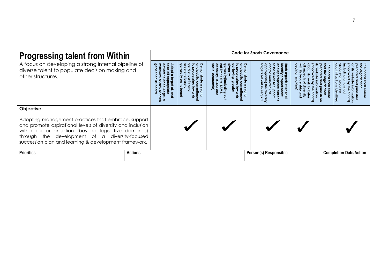| <b>Progressing talent from Within</b>                                                                                                                                                                                                                                                |                | <b>Code for Sports Governance</b> |                       |                       |  |                               |
|--------------------------------------------------------------------------------------------------------------------------------------------------------------------------------------------------------------------------------------------------------------------------------------|----------------|-----------------------------------|-----------------------|-----------------------|--|-------------------------------|
| A focus on developing a strong internal pipeline of<br>diverse talent to populate decision making and<br>other structures.                                                                                                                                                           |                | nmimn<br>Strong                   | <b>Strong</b><br>imim | F<br><b>Ishal</b>     |  |                               |
| Objective:                                                                                                                                                                                                                                                                           |                |                                   |                       |                       |  |                               |
| Adopting management practices that embrace, support<br>and promote aspirational levels of diversity and inclusion<br>within our organisation (beyond legislative demands)<br>through the development of a diversity-focused<br>succession plan and learning & development framework. |                |                                   |                       |                       |  |                               |
| <b>Priorities</b>                                                                                                                                                                                                                                                                    | <b>Actions</b> |                                   |                       | Person(s) Responsible |  | <b>Completion Date/Action</b> |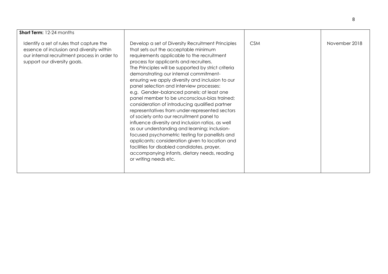| <b>Short Term: 12-24 months</b>                                                                                                                                       |                                                                                                                                                                                                                                                                                                                                                                                                                                                                                                                                                                                                                                                                                                                                                                                                                                                                                                                                                                     |            |               |
|-----------------------------------------------------------------------------------------------------------------------------------------------------------------------|---------------------------------------------------------------------------------------------------------------------------------------------------------------------------------------------------------------------------------------------------------------------------------------------------------------------------------------------------------------------------------------------------------------------------------------------------------------------------------------------------------------------------------------------------------------------------------------------------------------------------------------------------------------------------------------------------------------------------------------------------------------------------------------------------------------------------------------------------------------------------------------------------------------------------------------------------------------------|------------|---------------|
| Identify a set of rules that capture the<br>essence of inclusion and diversity within<br>our internal recruitment process in order to<br>support our diversity goals. | Develop a set of Diversity Recruitment Principles<br>that sets out the acceptable minimum<br>requirements applicable to the recruitment<br>process for applicants and recruiters.<br>The Principles will be supported by strict criteria<br>demonstrating our internal commitment-<br>ensuring we apply diversity and inclusion to our<br>panel selection and interview processes:<br>e.g. Gender-balanced panels; at least one<br>panel member to be unconscious-bias trained;<br>consideration of introducing qualified partner<br>representatives from under-represented sectors<br>of society onto our recruitment panel to<br>influence diversity and inclusion ratios, as well<br>as our understanding and learning; inclusion-<br>focused psychometric testing for panellists and<br>applicants; consideration given to location and<br>facilities for disabled candidates, prayer,<br>accompanying infants, dietary needs, reading<br>or writing needs etc. | <b>CSM</b> | November 2018 |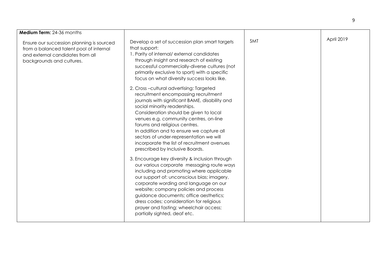| Medium Term: 24-36 months                                                                                                                             |                                                                                                                                                                                                                                                                                                                                                                                                                                                                 |     |            |
|-------------------------------------------------------------------------------------------------------------------------------------------------------|-----------------------------------------------------------------------------------------------------------------------------------------------------------------------------------------------------------------------------------------------------------------------------------------------------------------------------------------------------------------------------------------------------------------------------------------------------------------|-----|------------|
| Ensure our succession planning is sourced<br>from a balanced talent pool of internal<br>and external candidates from all<br>backgrounds and cultures. | Develop a set of succession plan smart targets<br>that support:<br>1. Parity of internal/external candidates<br>through insight and research of existing<br>successful commercially-diverse cultures (not<br>primarily exclusive to sport) with a specific<br>focus on what diversity success looks like.                                                                                                                                                       | SMT | April 2019 |
|                                                                                                                                                       | 2. Cross-cultural advertising: Targeted<br>recruitment encompassing recruitment<br>journals with significant BAME, disability and<br>social minority readerships.<br>Consideration should be given to local<br>venues e.g. community centres, on-line<br>forums and religious centres.<br>In addition and to ensure we capture all<br>sectors of under-representation we will<br>incorporate the list of recruitment avenues<br>prescribed by Inclusive Boards. |     |            |
|                                                                                                                                                       | 3. Encourage key diversity & inclusion through<br>our various corporate messaging route ways<br>including and promoting where applicable<br>our support of: unconscious bias; imagery,<br>corporate wording and language on our<br>website; company policies and process<br>guidance documents; office aesthetics;<br>dress codes; consideration for religious<br>prayer and fasting; wheelchair access;<br>partially sighted, deaf etc.                        |     |            |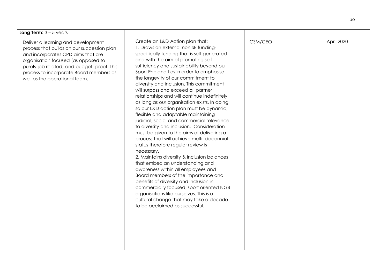| Long Term: $3 - 5$ years                                                                                                                                                                                                                                                                |                                                                                                                                                                                                                                                                                                                                                                                                                                                                                                                                                                                                                                                                                                                                                                                                                                                                                                                                                                                                                                                                                                                                                                                       |         |            |
|-----------------------------------------------------------------------------------------------------------------------------------------------------------------------------------------------------------------------------------------------------------------------------------------|---------------------------------------------------------------------------------------------------------------------------------------------------------------------------------------------------------------------------------------------------------------------------------------------------------------------------------------------------------------------------------------------------------------------------------------------------------------------------------------------------------------------------------------------------------------------------------------------------------------------------------------------------------------------------------------------------------------------------------------------------------------------------------------------------------------------------------------------------------------------------------------------------------------------------------------------------------------------------------------------------------------------------------------------------------------------------------------------------------------------------------------------------------------------------------------|---------|------------|
| Deliver a learning and development<br>process that builds on our succession plan<br>and incorporates CPD aims that are<br>organisation focused (as opposed to<br>purely job related) and budget-proof. This<br>process to incorporate Board members as<br>well as the operational team. | Create an L&D Action plan that:<br>1. Draws on external non SE funding-<br>specifically funding that is self-generated<br>and with the aim of promoting self-<br>sufficiency and sustainability beyond our<br>Sport England ties in order to emphasise<br>the longevity of our commitment to<br>diversity and inclusion. This commitment<br>will surpass and exceed all partner<br>relationships and will continue indefinitely<br>as long as our organisation exists. In doing<br>so our L&D action plan must be dynamic,<br>flexible and adaptable maintaining<br>judicial, social and commercial relevance<br>to diversity and inclusion. Consideration<br>must be given to the aims of delivering a<br>process that will achieve multi- decennial<br>status therefore regular review is<br>necessary.<br>2. Maintains diversity & inclusion balances<br>that embed an understanding and<br>awareness within all employees and<br>Board members of the importance and<br>benefits of diversity and inclusion in<br>commercially focused, sport oriented NGB<br>organisations like ourselves. This is a<br>cultural change that may take a decade<br>to be acclaimed as successful. | CSM/CEO | April 2020 |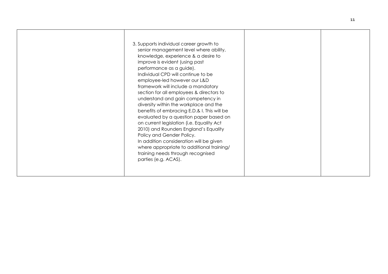|  | 3. Supports individual career growth to<br>senior management level where ability,<br>knowledge, experience & a desire to<br>improve is evident (using past<br>performance as a guide).<br>Individual CPD will continue to be<br>employee-led however our L&D<br>framework will include a mandatory<br>section for all employees & directors to<br>understand and gain competency in<br>diversity within the workplace and the<br>benefits of embracing E.D.& I. This will be<br>evaluated by a question paper based on<br>on current legislation (i.e. Equality Act<br>2010) and Rounders England's Equality<br>Policy and Gender Policy.<br>In addition consideration will be given<br>where appropriate to additional training/<br>training needs through recognised<br>parties (e.g. ACAS). |  |  |
|--|------------------------------------------------------------------------------------------------------------------------------------------------------------------------------------------------------------------------------------------------------------------------------------------------------------------------------------------------------------------------------------------------------------------------------------------------------------------------------------------------------------------------------------------------------------------------------------------------------------------------------------------------------------------------------------------------------------------------------------------------------------------------------------------------|--|--|
|--|------------------------------------------------------------------------------------------------------------------------------------------------------------------------------------------------------------------------------------------------------------------------------------------------------------------------------------------------------------------------------------------------------------------------------------------------------------------------------------------------------------------------------------------------------------------------------------------------------------------------------------------------------------------------------------------------------------------------------------------------------------------------------------------------|--|--|

11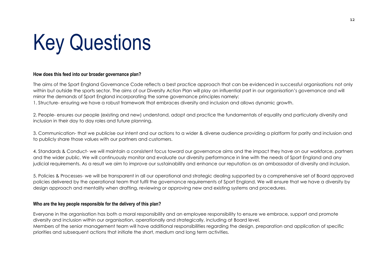# Key Questions

#### **How does this feed into our broader governance plan?**

The aims of the Sport England Governance Code reflects a best practice approach that can be evidenced in successful organisations not only within but outside the sports sector. The aims of our Diversity Action Plan will play an influential part in our organisation's governance and will mirror the demands of Sport England incorporating the same governance principles namely:

1. Structure- ensuring we have a robust framework that embraces diversity and inclusion and allows dynamic growth.

2. People- ensures our people (existing and new) understand, adopt and practice the fundamentals of equality and particularly diversity and inclusion in their day to day roles and future planning.

3. Communication- that we publicise our intent and our actions to a wider & diverse audience providing a platform for parity and inclusion and to publicly share those values with our partners and customers.

4. Standards & Conduct- we will maintain a consistent focus toward our governance aims and the impact they have on our workforce, partners and the wider public. We will continuously monitor and evaluate our diversity performance in line with the needs of Sport England and any judicial requirements. As a result we aim to improve our sustainability and enhance our reputation as an ambassador of diversity and inclusion.

5. Policies & Processes- we will be transparent in all our operational and strategic dealing supported by a comprehensive set of Board approved policies delivered by the operational team that fulfil the governance requirements of Sport England. We will ensure that we have a diversity by design approach and mentality when drafting, reviewing or approving new and existing systems and procedures.

#### **Who are the key people responsible for the delivery of this plan?**

Everyone in the organisation has both a moral responsibility and an employee responsibility to ensure we embrace, support and promote diversity and inclusion within our organisation, operationally and strategically, including at Board level. Members of the senior management team will have additional responsibilities regarding the design, preparation and application of specific priorities and subsequent actions that initiate the short, medium and long term activities.